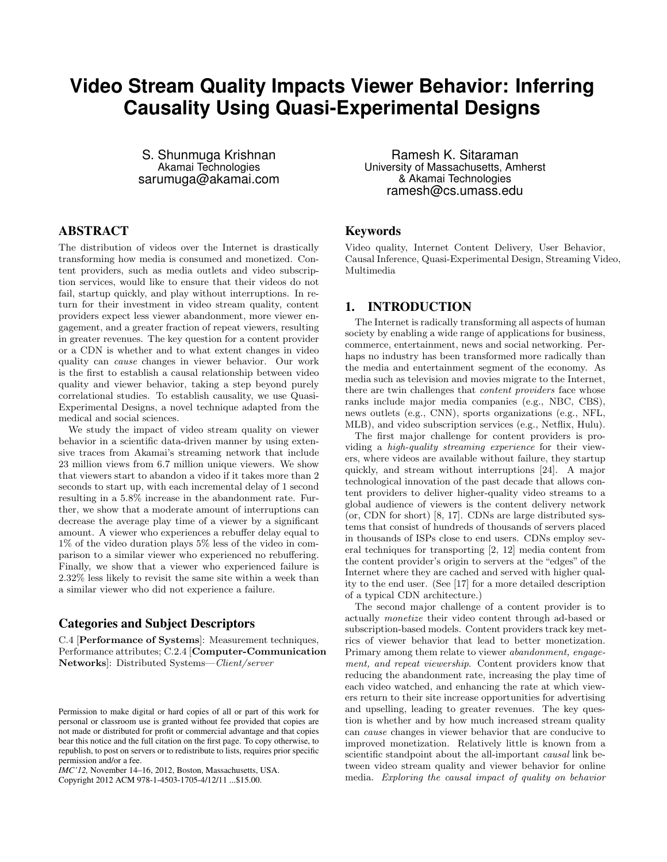# **Video Stream Quality Impacts Viewer Behavior: Inferring Causality Using Quasi-Experimental Designs**

S. Shunmuga Krishnan Akamai Technologies sarumuga@akamai.com

# ABSTRACT

The distribution of videos over the Internet is drastically transforming how media is consumed and monetized. Content providers, such as media outlets and video subscription services, would like to ensure that their videos do not fail, startup quickly, and play without interruptions. In return for their investment in video stream quality, content providers expect less viewer abandonment, more viewer engagement, and a greater fraction of repeat viewers, resulting in greater revenues. The key question for a content provider or a CDN is whether and to what extent changes in video quality can *cause* changes in viewer behavior. Our work is the first to establish a causal relationship between video quality and viewer behavior, taking a step beyond purely correlational studies. To establish causality, we use Quasi-Experimental Designs, a novel technique adapted from the medical and social sciences.

We study the impact of video stream quality on viewer behavior in a scientific data-driven manner by using extensive traces from Akamai's streaming network that include 23 million views from 6.7 million unique viewers. We show that viewers start to abandon a video if it takes more than 2 seconds to start up, with each incremental delay of 1 second resulting in a 5*.*8% increase in the abandonment rate. Further, we show that a moderate amount of interruptions can decrease the average play time of a viewer by a significant amount. A viewer who experiences a rebuffer delay equal to 1% of the video duration plays 5% less of the video in comparison to a similar viewer who experienced no rebuffering. Finally, we show that a viewer who experienced failure is 2.32% less likely to revisit the same site within a week than a similar viewer who did not experience a failure.

### Categories and Subject Descriptors

C.4 [Performance of Systems]: Measurement techniques, Performance attributes; C.2.4 [Computer-Communication Networks]: Distributed Systems—*Client/server*

*IMC'12,* November 14–16, 2012, Boston, Massachusetts, USA. Copyright 2012 ACM 978-1-4503-1705-4/12/11 ...\$15.00.

Ramesh K. Sitaraman University of Massachusetts, Amherst & Akamai Technologies ramesh@cs.umass.edu

### Keywords

Video quality, Internet Content Delivery, User Behavior, Causal Inference, Quasi-Experimental Design, Streaming Video, Multimedia

### 1. INTRODUCTION

The Internet is radically transforming all aspects of human society by enabling a wide range of applications for business, commerce, entertainment, news and social networking. Perhaps no industry has been transformed more radically than the media and entertainment segment of the economy. As media such as television and movies migrate to the Internet, there are twin challenges that *content providers* face whose ranks include major media companies (e.g., NBC, CBS), news outlets (e.g., CNN), sports organizations (e.g., NFL, MLB), and video subscription services (e.g., Netflix, Hulu).

The first major challenge for content providers is providing a *high-quality streaming experience* for their viewers, where videos are available without failure, they startup quickly, and stream without interruptions [24]. A major technological innovation of the past decade that allows content providers to deliver higher-quality video streams to a global audience of viewers is the content delivery network (or, CDN for short) [8, 17]. CDNs are large distributed systems that consist of hundreds of thousands of servers placed in thousands of ISPs close to end users. CDNs employ several techniques for transporting [2, 12] media content from the content provider's origin to servers at the "edges" of the Internet where they are cached and served with higher quality to the end user. (See [17] for a more detailed description of a typical CDN architecture.)

The second major challenge of a content provider is to actually *monetize* their video content through ad-based or subscription-based models. Content providers track key metrics of viewer behavior that lead to better monetization. Primary among them relate to viewer *abandonment, engagement, and repeat viewership*. Content providers know that reducing the abandonment rate, increasing the play time of each video watched, and enhancing the rate at which viewers return to their site increase opportunities for advertising and upselling, leading to greater revenues. The key question is whether and by how much increased stream quality can *cause* changes in viewer behavior that are conducive to improved monetization. Relatively little is known from a scientific standpoint about the all-important *causal* link between video stream quality and viewer behavior for online media. *Exploring the causal impact of quality on behavior*

Permission to make digital or hard copies of all or part of this work for personal or classroom use is granted without fee provided that copies are not made or distributed for profit or commercial advantage and that copies bear this notice and the full citation on the first page. To copy otherwise, to republish, to post on servers or to redistribute to lists, requires prior specific permission and/or a fee.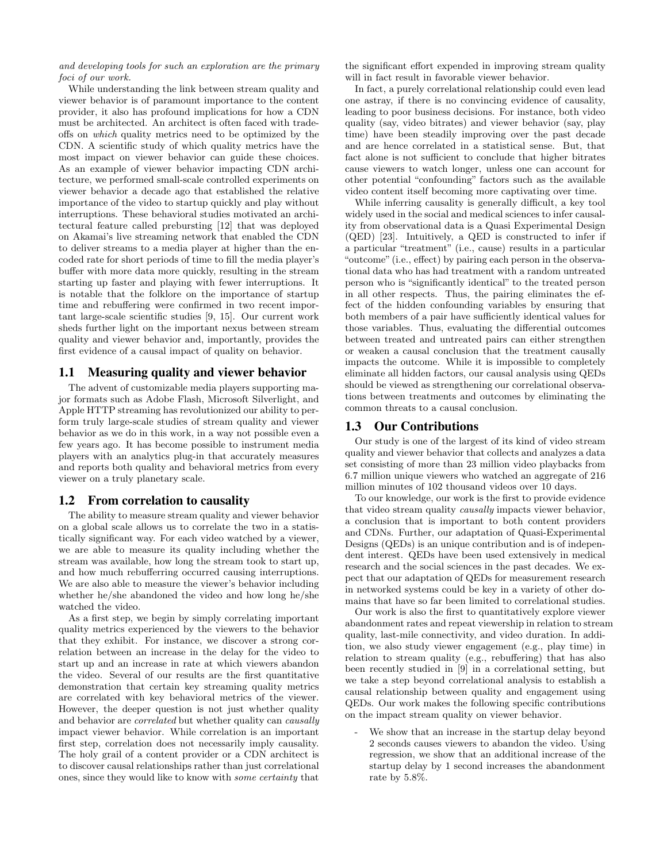*and developing tools for such an exploration are the primary foci of our work.*

While understanding the link between stream quality and viewer behavior is of paramount importance to the content provider, it also has profound implications for how a CDN must be architected. An architect is often faced with tradeoffs on *which* quality metrics need to be optimized by the CDN. A scientific study of which quality metrics have the most impact on viewer behavior can guide these choices. As an example of viewer behavior impacting CDN architecture, we performed small-scale controlled experiments on viewer behavior a decade ago that established the relative importance of the video to startup quickly and play without interruptions. These behavioral studies motivated an architectural feature called prebursting [12] that was deployed on Akamai's live streaming network that enabled the CDN to deliver streams to a media player at higher than the encoded rate for short periods of time to fill the media player's buffer with more data more quickly, resulting in the stream starting up faster and playing with fewer interruptions. It is notable that the folklore on the importance of startup time and rebuffering were confirmed in two recent important large-scale scientific studies [9, 15]. Our current work sheds further light on the important nexus between stream quality and viewer behavior and, importantly, provides the first evidence of a causal impact of quality on behavior.

#### 1.1 Measuring quality and viewer behavior

The advent of customizable media players supporting major formats such as Adobe Flash, Microsoft Silverlight, and Apple HTTP streaming has revolutionized our ability to perform truly large-scale studies of stream quality and viewer behavior as we do in this work, in a way not possible even a few years ago. It has become possible to instrument media players with an analytics plug-in that accurately measures and reports both quality and behavioral metrics from every viewer on a truly planetary scale.

### 1.2 From correlation to causality

The ability to measure stream quality and viewer behavior on a global scale allows us to correlate the two in a statistically significant way. For each video watched by a viewer, we are able to measure its quality including whether the stream was available, how long the stream took to start up, and how much rebufferring occurred causing interruptions. We are also able to measure the viewer's behavior including whether he/she abandoned the video and how long he/she watched the video.

As a first step, we begin by simply correlating important quality metrics experienced by the viewers to the behavior that they exhibit. For instance, we discover a strong correlation between an increase in the delay for the video to start up and an increase in rate at which viewers abandon the video. Several of our results are the first quantitative demonstration that certain key streaming quality metrics are correlated with key behavioral metrics of the viewer. However, the deeper question is not just whether quality and behavior are *correlated* but whether quality can *causally* impact viewer behavior. While correlation is an important first step, correlation does not necessarily imply causality. The holy grail of a content provider or a CDN architect is to discover causal relationships rather than just correlational ones, since they would like to know with *some certainty* that

the significant effort expended in improving stream quality will in fact result in favorable viewer behavior.

In fact, a purely correlational relationship could even lead one astray, if there is no convincing evidence of causality, leading to poor business decisions. For instance, both video quality (say, video bitrates) and viewer behavior (say, play time) have been steadily improving over the past decade and are hence correlated in a statistical sense. But, that fact alone is not sufficient to conclude that higher bitrates cause viewers to watch longer, unless one can account for other potential "confounding" factors such as the available video content itself becoming more captivating over time.

While inferring causality is generally difficult, a key tool widely used in the social and medical sciences to infer causality from observational data is a Quasi Experimental Design (QED) [23]. Intuitively, a QED is constructed to infer if a particular "treatment" (i.e., cause) results in a particular "outcome" (i.e., effect) by pairing each person in the observational data who has had treatment with a random untreated person who is "significantly identical" to the treated person in all other respects. Thus, the pairing eliminates the effect of the hidden confounding variables by ensuring that both members of a pair have sufficiently identical values for those variables. Thus, evaluating the differential outcomes between treated and untreated pairs can either strengthen or weaken a causal conclusion that the treatment causally impacts the outcome. While it is impossible to completely eliminate all hidden factors, our causal analysis using QEDs should be viewed as strengthening our correlational observations between treatments and outcomes by eliminating the common threats to a causal conclusion.

### 1.3 Our Contributions

Our study is one of the largest of its kind of video stream quality and viewer behavior that collects and analyzes a data set consisting of more than 23 million video playbacks from 6.7 million unique viewers who watched an aggregate of 216 million minutes of 102 thousand videos over 10 days.

To our knowledge, our work is the first to provide evidence that video stream quality *causally* impacts viewer behavior, a conclusion that is important to both content providers and CDNs. Further, our adaptation of Quasi-Experimental Designs (QEDs) is an unique contribution and is of independent interest. QEDs have been used extensively in medical research and the social sciences in the past decades. We expect that our adaptation of QEDs for measurement research in networked systems could be key in a variety of other domains that have so far been limited to correlational studies.

Our work is also the first to quantitatively explore viewer abandonment rates and repeat viewership in relation to stream quality, last-mile connectivity, and video duration. In addition, we also study viewer engagement (e.g., play time) in relation to stream quality (e.g., rebuffering) that has also been recently studied in [9] in a correlational setting, but we take a step beyond correlational analysis to establish a causal relationship between quality and engagement using QEDs. Our work makes the following specific contributions on the impact stream quality on viewer behavior.

We show that an increase in the startup delay beyond 2 seconds causes viewers to abandon the video. Using regression, we show that an additional increase of the startup delay by 1 second increases the abandonment rate by 5.8%.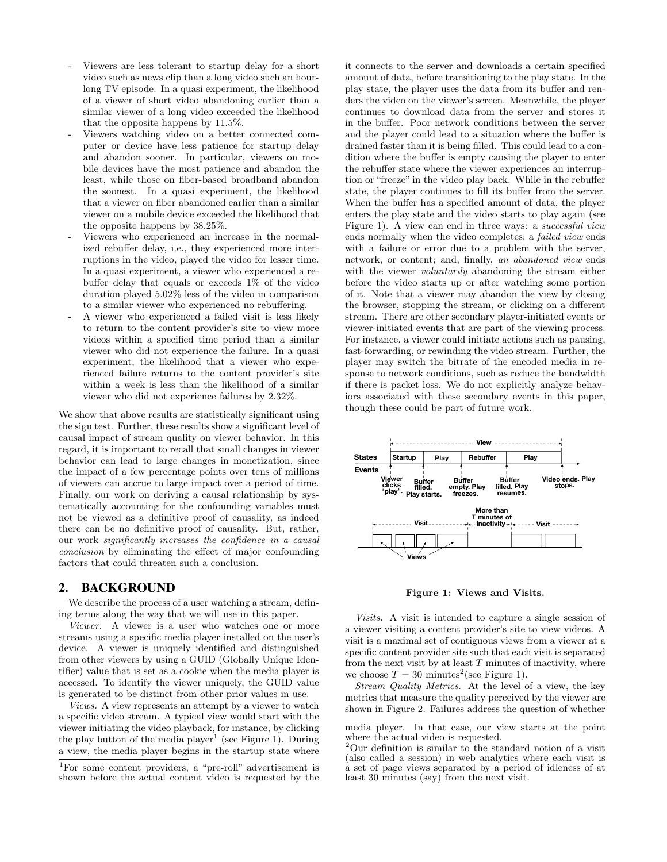- Viewers are less tolerant to startup delay for a short video such as news clip than a long video such an hourlong TV episode. In a quasi experiment, the likelihood of a viewer of short video abandoning earlier than a similar viewer of a long video exceeded the likelihood that the opposite happens by 11.5%.
- Viewers watching video on a better connected computer or device have less patience for startup delay and abandon sooner. In particular, viewers on mobile devices have the most patience and abandon the least, while those on fiber-based broadband abandon the soonest. In a quasi experiment, the likelihood that a viewer on fiber abandoned earlier than a similar viewer on a mobile device exceeded the likelihood that the opposite happens by 38.25%.
- Viewers who experienced an increase in the normalized rebuffer delay, i.e., they experienced more interruptions in the video, played the video for lesser time. In a quasi experiment, a viewer who experienced a rebuffer delay that equals or exceeds  $1\%$  of the video duration played 5.02% less of the video in comparison to a similar viewer who experienced no rebuffering.
- A viewer who experienced a failed visit is less likely to return to the content provider's site to view more videos within a specified time period than a similar viewer who did not experience the failure. In a quasi experiment, the likelihood that a viewer who experienced failure returns to the content provider's site within a week is less than the likelihood of a similar viewer who did not experience failures by 2.32%.

We show that above results are statistically significant using the sign test. Further, these results show a significant level of causal impact of stream quality on viewer behavior. In this regard, it is important to recall that small changes in viewer behavior can lead to large changes in monetization, since the impact of a few percentage points over tens of millions of viewers can accrue to large impact over a period of time. Finally, our work on deriving a causal relationship by systematically accounting for the confounding variables must not be viewed as a definitive proof of causality, as indeed there can be no definitive proof of causality. But, rather, our work *significantly increases the confidence in a causal conclusion* by eliminating the effect of major confounding factors that could threaten such a conclusion.

### 2. BACKGROUND

We describe the process of a user watching a stream, defining terms along the way that we will use in this paper.

*Viewer.* A viewer is a user who watches one or more streams using a specific media player installed on the user's device. A viewer is uniquely identified and distinguished from other viewers by using a GUID (Globally Unique Identifier) value that is set as a cookie when the media player is accessed. To identify the viewer uniquely, the GUID value is generated to be distinct from other prior values in use.

*Views.* A view represents an attempt by a viewer to watch a specific video stream. A typical view would start with the viewer initiating the video playback, for instance, by clicking the play button of the media player<sup>1</sup> (see Figure 1). During a view, the media player begins in the startup state where it connects to the server and downloads a certain specified amount of data, before transitioning to the play state. In the play state, the player uses the data from its buffer and renders the video on the viewer's screen. Meanwhile, the player continues to download data from the server and stores it in the buffer. Poor network conditions between the server and the player could lead to a situation where the buffer is drained faster than it is being filled. This could lead to a condition where the buffer is empty causing the player to enter the rebuffer state where the viewer experiences an interruption or "freeze" in the video play back. While in the rebuffer state, the player continues to fill its buffer from the server. When the buffer has a specified amount of data, the player enters the play state and the video starts to play again (see Figure 1). A view can end in three ways: a *successful view* ends normally when the video completes; a *failed view* ends with a failure or error due to a problem with the server, network, or content; and, finally, *an abandoned view* ends with the viewer *voluntarily* abandoning the stream either before the video starts up or after watching some portion of it. Note that a viewer may abandon the view by closing the browser, stopping the stream, or clicking on a different stream. There are other secondary player-initiated events or viewer-initiated events that are part of the viewing process. For instance, a viewer could initiate actions such as pausing, fast-forwarding, or rewinding the video stream. Further, the player may switch the bitrate of the encoded media in response to network conditions, such as reduce the bandwidth if there is packet loss. We do not explicitly analyze behaviors associated with these secondary events in this paper, though these could be part of future work.



Figure 1: Views and Visits.

*Visits.* A visit is intended to capture a single session of a viewer visiting a content provider's site to view videos. A visit is a maximal set of contiguous views from a viewer at a specific content provider site such that each visit is separated from the next visit by at least *T* minutes of inactivity, where we choose  $T = 30$  minutes<sup>2</sup>(see Figure 1).

*Stream Quality Metrics.* At the level of a view, the key metrics that measure the quality perceived by the viewer are shown in Figure 2. Failures address the question of whether

<sup>1</sup>For some content providers, a "pre-roll" advertisement is shown before the actual content video is requested by the

media player. In that case, our view starts at the point where the actual video is requested.

<sup>2</sup>Our definition is similar to the standard notion of a visit (also called a session) in web analytics where each visit is a set of page views separated by a period of idleness of at least 30 minutes (say) from the next visit.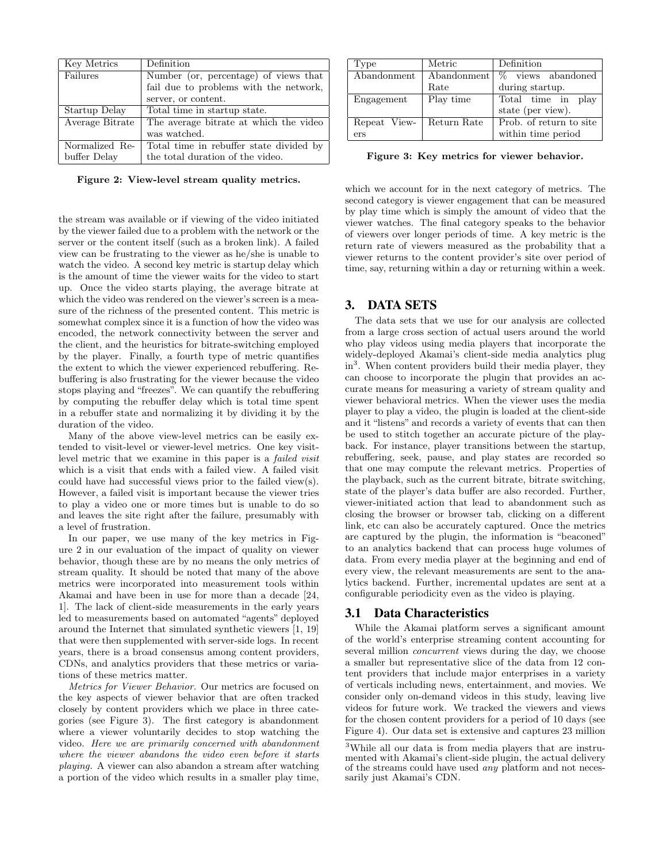| Key Metrics     | Definition                              |
|-----------------|-----------------------------------------|
| Failures        | Number (or, percentage) of views that   |
|                 | fail due to problems with the network,  |
|                 | server, or content.                     |
| Startup Delay   | Total time in startup state.            |
| Average Bitrate | The average bitrate at which the video  |
|                 | was watched.                            |
| Normalized Re-  | Total time in rebuffer state divided by |
| buffer Delay    | the total duration of the video.        |

Figure 2: View-level stream quality metrics.

the stream was available or if viewing of the video initiated by the viewer failed due to a problem with the network or the server or the content itself (such as a broken link). A failed view can be frustrating to the viewer as he/she is unable to watch the video. A second key metric is startup delay which is the amount of time the viewer waits for the video to start up. Once the video starts playing, the average bitrate at which the video was rendered on the viewer's screen is a measure of the richness of the presented content. This metric is somewhat complex since it is a function of how the video was encoded, the network connectivity between the server and the client, and the heuristics for bitrate-switching employed by the player. Finally, a fourth type of metric quantifies the extent to which the viewer experienced rebuffering. Rebuffering is also frustrating for the viewer because the video stops playing and "freezes". We can quantify the rebuffering by computing the rebuffer delay which is total time spent in a rebuffer state and normalizing it by dividing it by the duration of the video.

Many of the above view-level metrics can be easily extended to visit-level or viewer-level metrics. One key visitlevel metric that we examine in this paper is a *failed visit* which is a visit that ends with a failed view. A failed visit could have had successful views prior to the failed view(s). However, a failed visit is important because the viewer tries to play a video one or more times but is unable to do so and leaves the site right after the failure, presumably with a level of frustration.

In our paper, we use many of the key metrics in Figure 2 in our evaluation of the impact of quality on viewer behavior, though these are by no means the only metrics of stream quality. It should be noted that many of the above metrics were incorporated into measurement tools within Akamai and have been in use for more than a decade [24, 1]. The lack of client-side measurements in the early years led to measurements based on automated "agents" deployed around the Internet that simulated synthetic viewers [1, 19] that were then supplemented with server-side logs. In recent years, there is a broad consensus among content providers, CDNs, and analytics providers that these metrics or variations of these metrics matter.

*Metrics for Viewer Behavior.* Our metrics are focused on the key aspects of viewer behavior that are often tracked closely by content providers which we place in three categories (see Figure 3). The first category is abandonment where a viewer voluntarily decides to stop watching the video. *Here we are primarily concerned with abandonment where the viewer abandons the video even before it starts playing.* A viewer can also abandon a stream after watching a portion of the video which results in a smaller play time,

| Type                       | Metric      | Definition              |  |
|----------------------------|-------------|-------------------------|--|
| Abandonment                | Abandonment | % views abandoned       |  |
|                            | Rate        | during startup.         |  |
| Engagement                 | Play time   | Total time in play      |  |
|                            |             | state (per view).       |  |
| Repeat View-   Return Rate |             | Prob. of return to site |  |
| ers                        |             | within time period      |  |

Figure 3: Key metrics for viewer behavior.

which we account for in the next category of metrics. The second category is viewer engagement that can be measured by play time which is simply the amount of video that the viewer watches. The final category speaks to the behavior of viewers over longer periods of time. A key metric is the return rate of viewers measured as the probability that a viewer returns to the content provider's site over period of time, say, returning within a day or returning within a week.

### 3. DATA SETS

The data sets that we use for our analysis are collected from a large cross section of actual users around the world who play videos using media players that incorporate the widely-deployed Akamai's client-side media analytics plug in<sup>3</sup>. When content providers build their media player, they can choose to incorporate the plugin that provides an accurate means for measuring a variety of stream quality and viewer behavioral metrics. When the viewer uses the media player to play a video, the plugin is loaded at the client-side and it "listens" and records a variety of events that can then be used to stitch together an accurate picture of the playback. For instance, player transitions between the startup, rebuffering, seek, pause, and play states are recorded so that one may compute the relevant metrics. Properties of the playback, such as the current bitrate, bitrate switching, state of the player's data buffer are also recorded. Further, viewer-initiated action that lead to abandonment such as closing the browser or browser tab, clicking on a different link, etc can also be accurately captured. Once the metrics are captured by the plugin, the information is "beaconed" to an analytics backend that can process huge volumes of data. From every media player at the beginning and end of every view, the relevant measurements are sent to the analytics backend. Further, incremental updates are sent at a configurable periodicity even as the video is playing.

### 3.1 Data Characteristics

While the Akamai platform serves a significant amount of the world's enterprise streaming content accounting for several million *concurrent* views during the day, we choose a smaller but representative slice of the data from 12 content providers that include major enterprises in a variety of verticals including news, entertainment, and movies. We consider only on-demand videos in this study, leaving live videos for future work. We tracked the viewers and views for the chosen content providers for a period of 10 days (see Figure 4). Our data set is extensive and captures 23 million

<sup>3</sup>While all our data is from media players that are instrumented with Akamai's client-side plugin, the actual delivery of the streams could have used *any* platform and not necessarily just Akamai's CDN.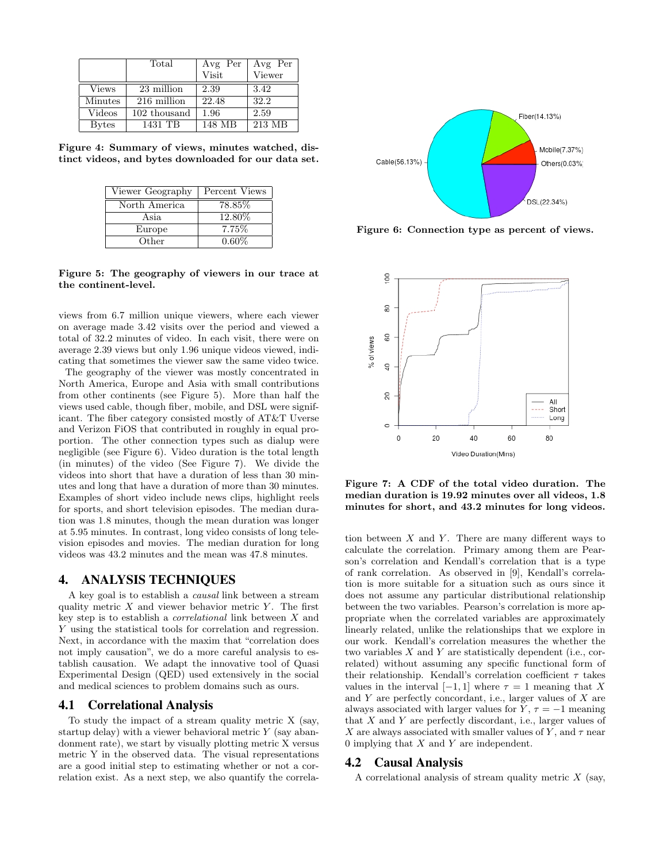|                | Total        | Avg Per<br>Visit | Avg Per<br>Viewer |
|----------------|--------------|------------------|-------------------|
| <b>Views</b>   | 23 million   | 2.39             | 3.42              |
| <b>Minutes</b> | 216 million  | 22.48            | 32.2              |
| Videos         | 102 thousand | 1.96             | 2.59              |
| <b>Bytes</b>   | 1431 TB      | 148 MB           | 213 MB            |

Figure 4: Summary of views, minutes watched, distinct videos, and bytes downloaded for our data set.

| Viewer Geography | Percent Views |
|------------------|---------------|
| North America    | 78.85%        |
| Asia             | 12.80%        |
| Europe           | 7.75%         |
| Other            | $0.60\%$      |

Figure 5: The geography of viewers in our trace at the continent-level.

views from 6.7 million unique viewers, where each viewer on average made 3.42 visits over the period and viewed a total of 32.2 minutes of video. In each visit, there were on average 2.39 views but only 1.96 unique videos viewed, indicating that sometimes the viewer saw the same video twice.

The geography of the viewer was mostly concentrated in North America, Europe and Asia with small contributions from other continents (see Figure 5). More than half the views used cable, though fiber, mobile, and DSL were significant. The fiber category consisted mostly of AT&T Uverse and Verizon FiOS that contributed in roughly in equal proportion. The other connection types such as dialup were negligible (see Figure 6). Video duration is the total length (in minutes) of the video (See Figure 7). We divide the videos into short that have a duration of less than 30 minutes and long that have a duration of more than 30 minutes. Examples of short video include news clips, highlight reels for sports, and short television episodes. The median duration was 1.8 minutes, though the mean duration was longer at 5.95 minutes. In contrast, long video consists of long television episodes and movies. The median duration for long videos was 43.2 minutes and the mean was 47.8 minutes.

### 4. ANALYSIS TECHNIQUES

A key goal is to establish a *causal* link between a stream quality metric  $X$  and viewer behavior metric  $Y$ . The first key step is to establish a *correlational* link between *X* and *Y* using the statistical tools for correlation and regression. Next, in accordance with the maxim that "correlation does not imply causation", we do a more careful analysis to establish causation. We adapt the innovative tool of Quasi Experimental Design (QED) used extensively in the social and medical sciences to problem domains such as ours.

#### 4.1 Correlational Analysis

To study the impact of a stream quality metric X (say, startup delay) with a viewer behavioral metric *Y* (say abandonment rate), we start by visually plotting metric X versus metric Y in the observed data. The visual representations are a good initial step to estimating whether or not a correlation exist. As a next step, we also quantify the correla-



Figure 6: Connection type as percent of views.



Figure 7: A CDF of the total video duration. The median duration is 19.92 minutes over all videos, 1.8 minutes for short, and 43.2 minutes for long videos.

tion between  $X$  and  $Y$ . There are many different ways to calculate the correlation. Primary among them are Pearson's correlation and Kendall's correlation that is a type of rank correlation. As observed in [9], Kendall's correlation is more suitable for a situation such as ours since it does not assume any particular distributional relationship between the two variables. Pearson's correlation is more appropriate when the correlated variables are approximately linearly related, unlike the relationships that we explore in our work. Kendall's correlation measures the whether the two variables *X* and *Y* are statistically dependent (i.e., correlated) without assuming any specific functional form of their relationship. Kendall's correlation coefficient  $\tau$  takes values in the interval  $[-1, 1]$  where  $\tau = 1$  meaning that X and *Y* are perfectly concordant, i.e., larger values of *X* are always associated with larger values for *Y*,  $\tau = -1$  meaning that *X* and *Y* are perfectly discordant, i.e., larger values of *X* are always associated with smaller values of *Y*, and  $\tau$  near 0 implying that *X* and *Y* are independent.

### 4.2 Causal Analysis

A correlational analysis of stream quality metric *X* (say,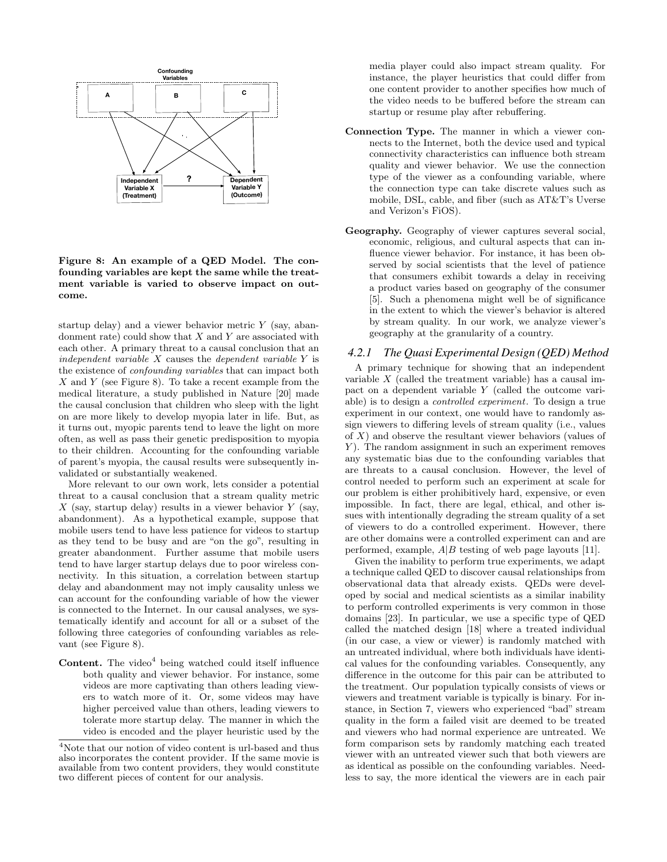

Figure 8: An example of a QED Model. The confounding variables are kept the same while the treatment variable is varied to observe impact on outcome.

startup delay) and a viewer behavior metric *Y* (say, abandonment rate) could show that *X* and *Y* are associated with each other. A primary threat to a causal conclusion that an *independent variable X* causes the *dependent variable Y* is the existence of *confounding variables* that can impact both *X* and *Y* (see Figure 8). To take a recent example from the medical literature, a study published in Nature [20] made the causal conclusion that children who sleep with the light on are more likely to develop myopia later in life. But, as it turns out, myopic parents tend to leave the light on more often, as well as pass their genetic predisposition to myopia to their children. Accounting for the confounding variable of parent's myopia, the causal results were subsequently invalidated or substantially weakened.

More relevant to our own work, lets consider a potential threat to a causal conclusion that a stream quality metric *X* (say, startup delay) results in a viewer behavior *Y* (say, abandonment). As a hypothetical example, suppose that mobile users tend to have less patience for videos to startup as they tend to be busy and are "on the go", resulting in greater abandonment. Further assume that mobile users tend to have larger startup delays due to poor wireless connectivity. In this situation, a correlation between startup delay and abandonment may not imply causality unless we can account for the confounding variable of how the viewer is connected to the Internet. In our causal analyses, we systematically identify and account for all or a subset of the following three categories of confounding variables as relevant (see Figure 8).

**Content.** The video<sup>4</sup> being watched could itself influence both quality and viewer behavior. For instance, some videos are more captivating than others leading viewers to watch more of it. Or, some videos may have higher perceived value than others, leading viewers to tolerate more startup delay. The manner in which the video is encoded and the player heuristic used by the media player could also impact stream quality. For instance, the player heuristics that could differ from one content provider to another specifies how much of the video needs to be buffered before the stream can startup or resume play after rebuffering.

- Connection Type. The manner in which a viewer connects to the Internet, both the device used and typical connectivity characteristics can influence both stream quality and viewer behavior. We use the connection type of the viewer as a confounding variable, where the connection type can take discrete values such as mobile, DSL, cable, and fiber (such as AT&T's Uverse and Verizon's FiOS).
- Geography. Geography of viewer captures several social, economic, religious, and cultural aspects that can influence viewer behavior. For instance, it has been observed by social scientists that the level of patience that consumers exhibit towards a delay in receiving a product varies based on geography of the consumer [5]. Such a phenomena might well be of significance in the extent to which the viewer's behavior is altered by stream quality. In our work, we analyze viewer's geography at the granularity of a country.

### *4.2.1 The Quasi Experimental Design (QED) Method*

A primary technique for showing that an independent variable *X* (called the treatment variable) has a causal impact on a dependent variable *Y* (called the outcome variable) is to design a *controlled experiment*. To design a true experiment in our context, one would have to randomly assign viewers to differing levels of stream quality (i.e., values of *X*) and observe the resultant viewer behaviors (values of *Y*). The random assignment in such an experiment removes any systematic bias due to the confounding variables that are threats to a causal conclusion. However, the level of control needed to perform such an experiment at scale for our problem is either prohibitively hard, expensive, or even impossible. In fact, there are legal, ethical, and other issues with intentionally degrading the stream quality of a set of viewers to do a controlled experiment. However, there are other domains were a controlled experiment can and are performed, example, *A|B* testing of web page layouts [11].

Given the inability to perform true experiments, we adapt a technique called QED to discover causal relationships from observational data that already exists. QEDs were developed by social and medical scientists as a similar inability to perform controlled experiments is very common in those domains [23]. In particular, we use a specific type of QED called the matched design [18] where a treated individual (in our case, a view or viewer) is randomly matched with an untreated individual, where both individuals have identical values for the confounding variables. Consequently, any difference in the outcome for this pair can be attributed to the treatment. Our population typically consists of views or viewers and treatment variable is typically is binary. For instance, in Section 7, viewers who experienced "bad" stream quality in the form a failed visit are deemed to be treated and viewers who had normal experience are untreated. We form comparison sets by randomly matching each treated viewer with an untreated viewer such that both viewers are as identical as possible on the confounding variables. Needless to say, the more identical the viewers are in each pair

 $\rm ^4Note$  that our notion of video content is url-based and thus also incorporates the content provider. If the same movie is available from two content providers, they would constitute two different pieces of content for our analysis.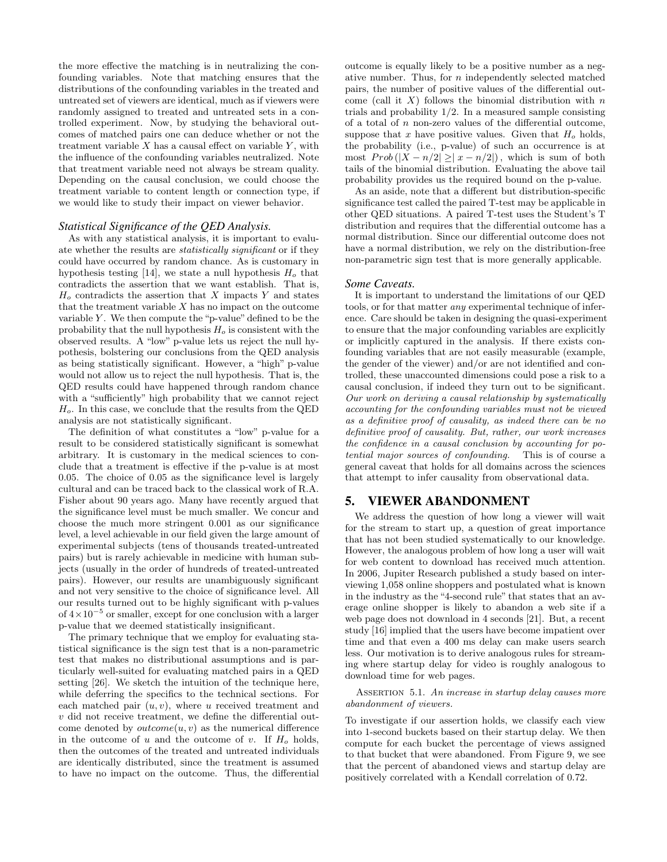the more effective the matching is in neutralizing the confounding variables. Note that matching ensures that the distributions of the confounding variables in the treated and untreated set of viewers are identical, much as if viewers were randomly assigned to treated and untreated sets in a controlled experiment. Now, by studying the behavioral outcomes of matched pairs one can deduce whether or not the treatment variable  $X$  has a causal effect on variable  $Y$ , with the influence of the confounding variables neutralized. Note that treatment variable need not always be stream quality. Depending on the causal conclusion, we could choose the treatment variable to content length or connection type, if we would like to study their impact on viewer behavior.

#### *Statistical Significance of the QED Analysis.*

As with any statistical analysis, it is important to evaluate whether the results are *statistically significant* or if they could have occurred by random chance. As is customary in hypothesis testing [14], we state a null hypothesis  $H<sub>o</sub>$  that contradicts the assertion that we want establish. That is,  $H<sub>o</sub>$  contradicts the assertion that *X* impacts *Y* and states that the treatment variable *X* has no impact on the outcome variable *Y* . We then compute the "p-value" defined to be the probability that the null hypothesis *H<sup>o</sup>* is consistent with the observed results. A "low" p-value lets us reject the null hypothesis, bolstering our conclusions from the QED analysis as being statistically significant. However, a "high" p-value would not allow us to reject the null hypothesis. That is, the QED results could have happened through random chance with a "sufficiently" high probability that we cannot reject  $H<sub>o</sub>$ . In this case, we conclude that the results from the QED analysis are not statistically significant.

The definition of what constitutes a "low" p-value for a result to be considered statistically significant is somewhat arbitrary. It is customary in the medical sciences to conclude that a treatment is effective if the p-value is at most 0*.*05. The choice of 0*.*05 as the significance level is largely cultural and can be traced back to the classical work of R.A. Fisher about 90 years ago. Many have recently argued that the significance level must be much smaller. We concur and choose the much more stringent 0*.*001 as our significance level, a level achievable in our field given the large amount of experimental subjects (tens of thousands treated-untreated pairs) but is rarely achievable in medicine with human subjects (usually in the order of hundreds of treated-untreated pairs). However, our results are unambiguously significant and not very sensitive to the choice of significance level. All our results turned out to be highly significant with p-values of  $4\times10^{-5}$  or smaller, except for one conclusion with a larger p-value that we deemed statistically insignificant.

The primary technique that we employ for evaluating statistical significance is the sign test that is a non-parametric test that makes no distributional assumptions and is particularly well-suited for evaluating matched pairs in a QED setting [26]. We sketch the intuition of the technique here, while deferring the specifics to the technical sections. For each matched pair (*u, v*), where *u* received treatment and  $v$  did not receive treatment, we define the differential outcome denoted by  $outcome(u, v)$  as the numerical difference in the outcome of  $u$  and the outcome of  $v$ . If  $H_o$  holds, then the outcomes of the treated and untreated individuals are identically distributed, since the treatment is assumed to have no impact on the outcome. Thus, the differential

outcome is equally likely to be a positive number as a negative number. Thus, for *n* independently selected matched pairs, the number of positive values of the differential outcome (call it *X*) follows the binomial distribution with *n* trials and probability 1*/*2. In a measured sample consisting of a total of *n* non-zero values of the differential outcome, suppose that *x* have positive values. Given that  $H<sub>o</sub>$  holds, the probability (i.e., p-value) of such an occurrence is at most  $Prob(|X - n/2| \geq |x - n/2|)$ , which is sum of both tails of the binomial distribution. Evaluating the above tail probability provides us the required bound on the p-value.

As an aside, note that a different but distribution-specific significance test called the paired T-test may be applicable in other QED situations. A paired T-test uses the Student's T distribution and requires that the differential outcome has a normal distribution. Since our differential outcome does not have a normal distribution, we rely on the distribution-free non-parametric sign test that is more generally applicable.

#### *Some Caveats.*

It is important to understand the limitations of our QED tools, or for that matter *any* experimental technique of inference. Care should be taken in designing the quasi-experiment to ensure that the major confounding variables are explicitly or implicitly captured in the analysis. If there exists confounding variables that are not easily measurable (example, the gender of the viewer) and/or are not identified and controlled, these unaccounted dimensions could pose a risk to a causal conclusion, if indeed they turn out to be significant. *Our work on deriving a causal relationship by systematically accounting for the confounding variables must not be viewed as a definitive proof of causality, as indeed there can be no definitive proof of causality. But, rather, our work increases the confidence in a causal conclusion by accounting for potential major sources of confounding.* This is of course a *tential major sources of confounding.* general caveat that holds for all domains across the sciences that attempt to infer causality from observational data.

### 5. VIEWER ABANDONMENT

We address the question of how long a viewer will wait for the stream to start up, a question of great importance that has not been studied systematically to our knowledge. However, the analogous problem of how long a user will wait for web content to download has received much attention. In 2006, Jupiter Research published a study based on interviewing 1,058 online shoppers and postulated what is known in the industry as the "4-second rule" that states that an average online shopper is likely to abandon a web site if a web page does not download in 4 seconds [21]. But, a recent study [16] implied that the users have become impatient over time and that even a 400 ms delay can make users search less. Our motivation is to derive analogous rules for streaming where startup delay for video is roughly analogous to download time for web pages.

Assertion 5.1. *An increase in startup delay causes more abandonment of viewers.*

To investigate if our assertion holds, we classify each view into 1-second buckets based on their startup delay. We then compute for each bucket the percentage of views assigned to that bucket that were abandoned. From Figure 9, we see that the percent of abandoned views and startup delay are positively correlated with a Kendall correlation of 0*.*72.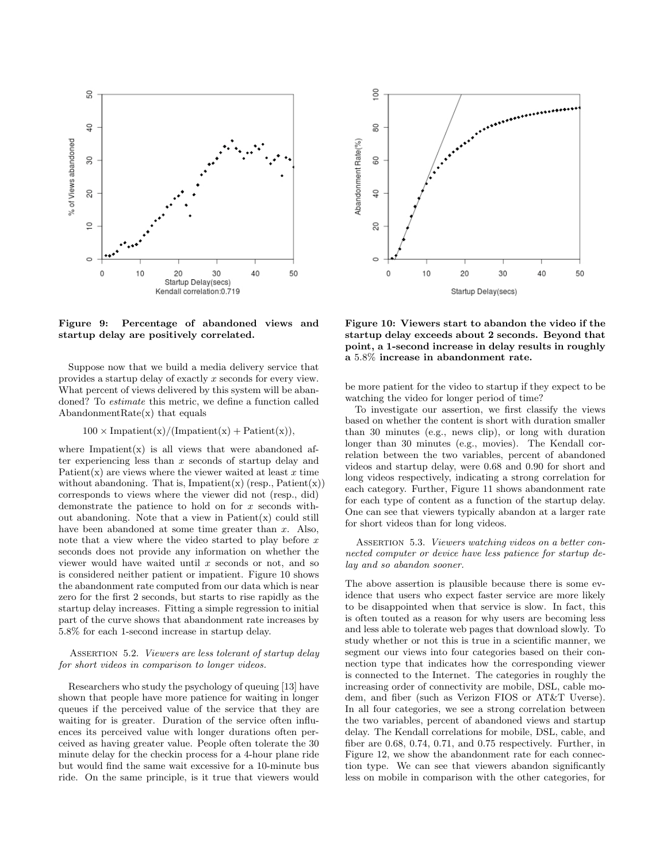



Figure 9: Percentage of abandoned views and startup delay are positively correlated.

Suppose now that we build a media delivery service that provides a startup delay of exactly *x* seconds for every view. What percent of views delivered by this system will be abandoned? To *estimate* this metric, we define a function called AbandonmentRate(x) that equals

#### $100 \times$  Impatient(x)/(Impatient(x) + Patient(x)),

where Impatient $(x)$  is all views that were abandoned after experiencing less than *x* seconds of startup delay and Patient(x) are views where the viewer waited at least  $\overline{x}$  time without abandoning. That is, Impatient $(x)$  (resp., Patient $(x)$ ) corresponds to views where the viewer did not (resp., did) demonstrate the patience to hold on for *x* seconds without abandoning. Note that a view in  $\text{Pattern}(x)$  could still have been abandoned at some time greater than *x*. Also, note that a view where the video started to play before *x* seconds does not provide any information on whether the viewer would have waited until *x* seconds or not, and so is considered neither patient or impatient. Figure 10 shows the abandonment rate computed from our data which is near zero for the first 2 seconds, but starts to rise rapidly as the startup delay increases. Fitting a simple regression to initial part of the curve shows that abandonment rate increases by 5.8% for each 1-second increase in startup delay.

#### Assertion 5.2. *Viewers are less tolerant of startup delay for short videos in comparison to longer videos.*

Researchers who study the psychology of queuing [13] have shown that people have more patience for waiting in longer queues if the perceived value of the service that they are waiting for is greater. Duration of the service often influences its perceived value with longer durations often perceived as having greater value. People often tolerate the 30 minute delay for the checkin process for a 4-hour plane ride but would find the same wait excessive for a 10-minute bus ride. On the same principle, is it true that viewers would

Figure 10: Viewers start to abandon the video if the startup delay exceeds about 2 seconds. Beyond that point, a 1-second increase in delay results in roughly a 5*.*8% increase in abandonment rate.

be more patient for the video to startup if they expect to be watching the video for longer period of time?

To investigate our assertion, we first classify the views based on whether the content is short with duration smaller than 30 minutes (e.g., news clip), or long with duration longer than 30 minutes (e.g., movies). The Kendall correlation between the two variables, percent of abandoned videos and startup delay, were 0*.*68 and 0*.*90 for short and long videos respectively, indicating a strong correlation for each category. Further, Figure 11 shows abandonment rate for each type of content as a function of the startup delay. One can see that viewers typically abandon at a larger rate for short videos than for long videos.

ASSERTION 5.3. *Viewers watching videos on a better connected computer or device have less patience for startup delay and so abandon sooner.*

The above assertion is plausible because there is some evidence that users who expect faster service are more likely to be disappointed when that service is slow. In fact, this is often touted as a reason for why users are becoming less and less able to tolerate web pages that download slowly. To study whether or not this is true in a scientific manner, we segment our views into four categories based on their connection type that indicates how the corresponding viewer is connected to the Internet. The categories in roughly the increasing order of connectivity are mobile, DSL, cable modem, and fiber (such as Verizon FIOS or AT&T Uverse). In all four categories, we see a strong correlation between the two variables, percent of abandoned views and startup delay. The Kendall correlations for mobile, DSL, cable, and fiber are 0.68, 0.74, 0.71, and 0.75 respectively. Further, in Figure 12, we show the abandonment rate for each connection type. We can see that viewers abandon significantly less on mobile in comparison with the other categories, for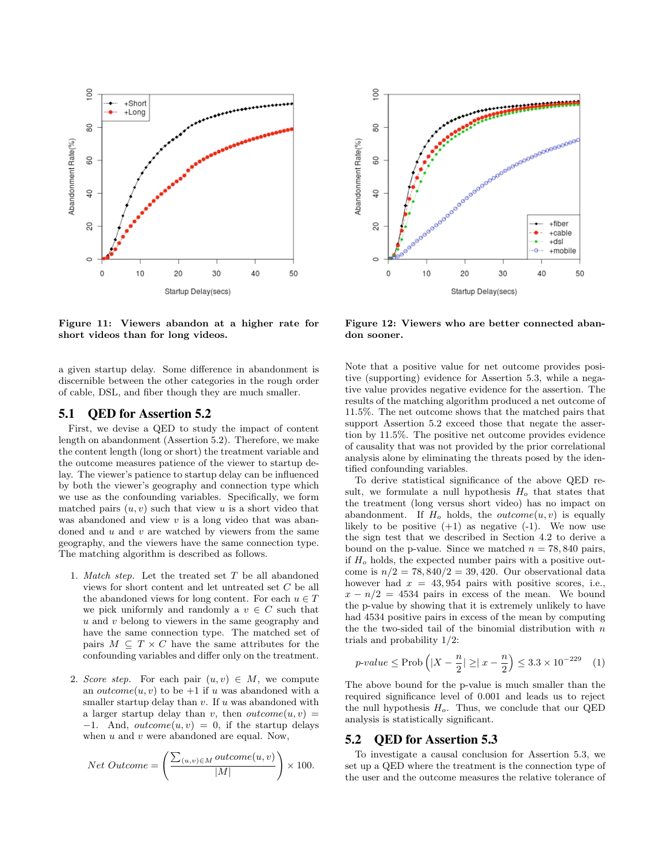

 $\overline{5}$ 80 Abandonment Rate(%) 80  $\overline{4}$ +fiber 20 +cable  $+ds$  $\ddot{\mathbf{e}}$ +mobile  $\circ$  $\mathbf 0$ 10 20 30 40 50 Startup Delay(secs)

Figure 11: Viewers abandon at a higher rate for short videos than for long videos.

a given startup delay. Some difference in abandonment is discernible between the other categories in the rough order of cable, DSL, and fiber though they are much smaller.

### 5.1 QED for Assertion 5.2

First, we devise a QED to study the impact of content length on abandonment (Assertion 5.2). Therefore, we make the content length (long or short) the treatment variable and the outcome measures patience of the viewer to startup delay. The viewer's patience to startup delay can be influenced by both the viewer's geography and connection type which we use as the confounding variables. Specifically, we form matched pairs  $(u, v)$  such that view  $u$  is a short video that was abandoned and view *v* is a long video that was abandoned and *u* and *v* are watched by viewers from the same geography, and the viewers have the same connection type. The matching algorithm is described as follows.

- 1. *Match step.* Let the treated set *T* be all abandoned views for short content and let untreated set *C* be all the abandoned views for long content. For each  $u \in T$ we pick uniformly and randomly a  $v \in C$  such that *u* and *v* belong to viewers in the same geography and have the same connection type. The matched set of pairs  $M \subseteq T \times C$  have the same attributes for the confounding variables and differ only on the treatment.
- 2. *Score step.* For each pair  $(u, v) \in M$ , we compute an  $outcome(u, v)$  to be  $+1$  if *u* was abandoned with a smaller startup delay than *v*. If *u* was abandoned with a larger startup delay than *v*, then  $outcome(u, v)$  =  $-1.$  And, *outcome*(*u*, *v*) = 0, if the startup delays when *u* and *v* were abandoned are equal. Now,

$$
Net\ Outcome=\left(\frac{\sum_{(u,v)\in M}\ outcome(u,v)}{|M|}\right)\times 100.
$$

Figure 12: Viewers who are better connected abandon sooner.

Note that a positive value for net outcome provides positive (supporting) evidence for Assertion 5.3, while a negative value provides negative evidence for the assertion. The results of the matching algorithm produced a net outcome of 11*.*5%. The net outcome shows that the matched pairs that support Assertion 5.2 exceed those that negate the assertion by 11*.*5%. The positive net outcome provides evidence of causality that was not provided by the prior correlational analysis alone by eliminating the threats posed by the identified confounding variables.

To derive statistical significance of the above QED result, we formulate a null hypothesis  $H<sub>o</sub>$  that states that the treatment (long versus short video) has no impact on abandonment. If  $H<sub>o</sub>$  holds, the *outcome*(*u, v*) is equally likely to be positive  $(+1)$  as negative  $(-1)$ . We now use the sign test that we described in Section 4.2 to derive a bound on the p-value. Since we matched  $n = 78,840$  pairs, if *H<sup>o</sup>* holds, the expected number pairs with a positive outcome is  $n/2 = 78,840/2 = 39,420$ . Our observational data however had  $x = 43,954$  pairs with positive scores, i.e.,  $x - n/2 = 4534$  pairs in excess of the mean. We bound the p-value by showing that it is extremely unlikely to have had 4534 positive pairs in excess of the mean by computing the the two-sided tail of the binomial distribution with *n* trials and probability 1*/*2:

$$
p\text{-}value \le \text{Prob}\left(|X - \frac{n}{2}| \ge |x - \frac{n}{2}\right) \le 3.3 \times 10^{-229} \quad (1)
$$

The above bound for the p-value is much smaller than the required significance level of 0*.*001 and leads us to reject the null hypothesis  $H<sub>o</sub>$ . Thus, we conclude that our QED analysis is statistically significant.

### 5.2 QED for Assertion 5.3

To investigate a causal conclusion for Assertion 5.3, we set up a QED where the treatment is the connection type of the user and the outcome measures the relative tolerance of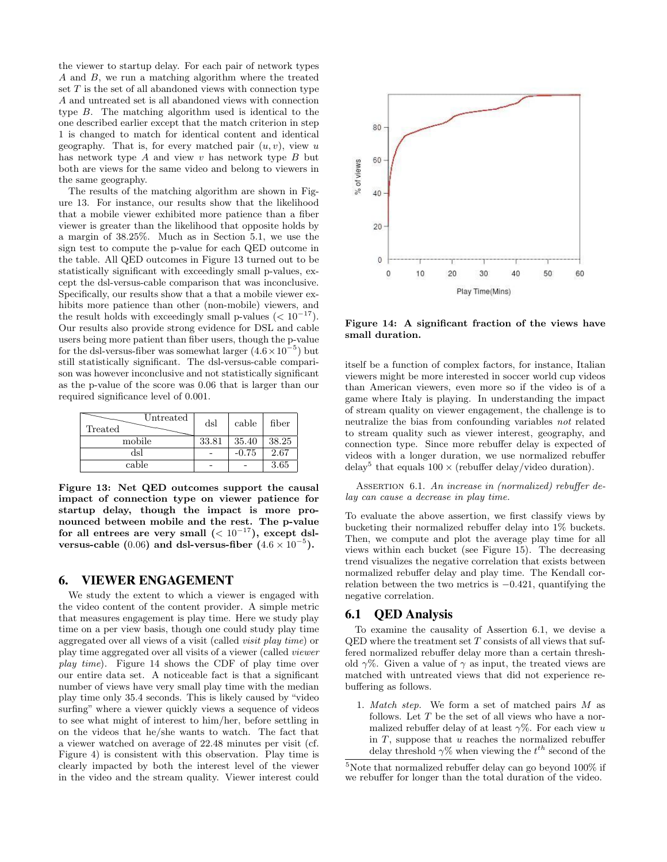the viewer to startup delay. For each pair of network types *A* and *B*, we run a matching algorithm where the treated set *T* is the set of all abandoned views with connection type *A* and untreated set is all abandoned views with connection type *B*. The matching algorithm used is identical to the one described earlier except that the match criterion in step 1 is changed to match for identical content and identical geography. That is, for every matched pair  $(u, v)$ , view  $u$ has network type *A* and view *v* has network type *B* but both are views for the same video and belong to viewers in the same geography.

The results of the matching algorithm are shown in Figure 13. For instance, our results show that the likelihood that a mobile viewer exhibited more patience than a fiber viewer is greater than the likelihood that opposite holds by a margin of 38*.*25%. Much as in Section 5.1, we use the sign test to compute the p-value for each QED outcome in the table. All QED outcomes in Figure 13 turned out to be statistically significant with exceedingly small p-values, except the dsl-versus-cable comparison that was inconclusive. Specifically, our results show that a that a mobile viewer exhibits more patience than other (non-mobile) viewers, and the result holds with exceedingly small p-values  $(< 10^{-17})$ . Our results also provide strong evidence for DSL and cable users being more patient than fiber users, though the p-value for the dsl-versus-fiber was somewhat larger  $(4.6 \times 10^{-5})$  but still statistically significant. The dsl-versus-cable comparison was however inconclusive and not statistically significant as the p-value of the score was 0*.*06 that is larger than our required significance level of 0*.*001.

| Untreated<br>Treated | dsl   | cable   | fiber |
|----------------------|-------|---------|-------|
| mobile               | 33.81 | 35.40   | 38.25 |
| dsl                  |       | $-0.75$ | 2.67  |
| cable                |       |         | 3.65  |

Figure 13: Net QED outcomes support the causal impact of connection type on viewer patience for startup delay, though the impact is more pronounced between mobile and the rest. The p-value for all entrees are very small  $( $10^{-17}$ ), except dsl$ versus-cable (0.06) and dsl-versus-fiber  $(4.6 \times 10^{-5})$ .

### 6. VIEWER ENGAGEMENT

We study the extent to which a viewer is engaged with the video content of the content provider. A simple metric that measures engagement is play time. Here we study play time on a per view basis, though one could study play time aggregated over all views of a visit (called *visit play time*) or play time aggregated over all visits of a viewer (called *viewer play time*). Figure 14 shows the CDF of play time over our entire data set. A noticeable fact is that a significant number of views have very small play time with the median play time only 35.4 seconds. This is likely caused by "video surfing" where a viewer quickly views a sequence of videos to see what might of interest to him/her, before settling in on the videos that he/she wants to watch. The fact that a viewer watched on average of 22.48 minutes per visit (cf. Figure 4) is consistent with this observation. Play time is clearly impacted by both the interest level of the viewer in the video and the stream quality. Viewer interest could



Figure 14: A significant fraction of the views have small duration.

itself be a function of complex factors, for instance, Italian viewers might be more interested in soccer world cup videos than American viewers, even more so if the video is of a game where Italy is playing. In understanding the impact of stream quality on viewer engagement, the challenge is to neutralize the bias from confounding variables *not* related to stream quality such as viewer interest, geography, and connection type. Since more rebuffer delay is expected of videos with a longer duration, we use normalized rebuffer delay<sup>5</sup> that equals  $100 \times$  (rebuffer delay/video duration).

ASSERTION 6.1. An increase in (normalized) rebuffer de*lay can cause a decrease in play time.*

To evaluate the above assertion, we first classify views by bucketing their normalized rebuffer delay into  $1\%$  buckets. Then, we compute and plot the average play time for all views within each bucket (see Figure 15). The decreasing trend visualizes the negative correlation that exists between normalized rebuffer delay and play time. The Kendall correlation between the two metrics is  $-0.421$ , quantifying the negative correlation.

#### 6.1 QED Analysis

To examine the causality of Assertion 6.1, we devise a QED where the treatment set *T* consists of all views that suffered normalized rebuffer delay more than a certain threshold  $\gamma\%$ . Given a value of  $\gamma$  as input, the treated views are matched with untreated views that did not experience rebuffering as follows.

1. *Match step.* We form a set of matched pairs *M* as follows. Let *T* be the set of all views who have a normalized rebuffer delay of at least  $\gamma\%$ . For each view *u* in  $T$ , suppose that  $u$  reaches the normalized rebuffer delay threshold  $\gamma\%$  when viewing the  $t^{th}$  second of the

<sup>&</sup>lt;sup>5</sup>Note that normalized rebuffer delay can go beyond  $100\%$  if we rebuffer for longer than the total duration of the video.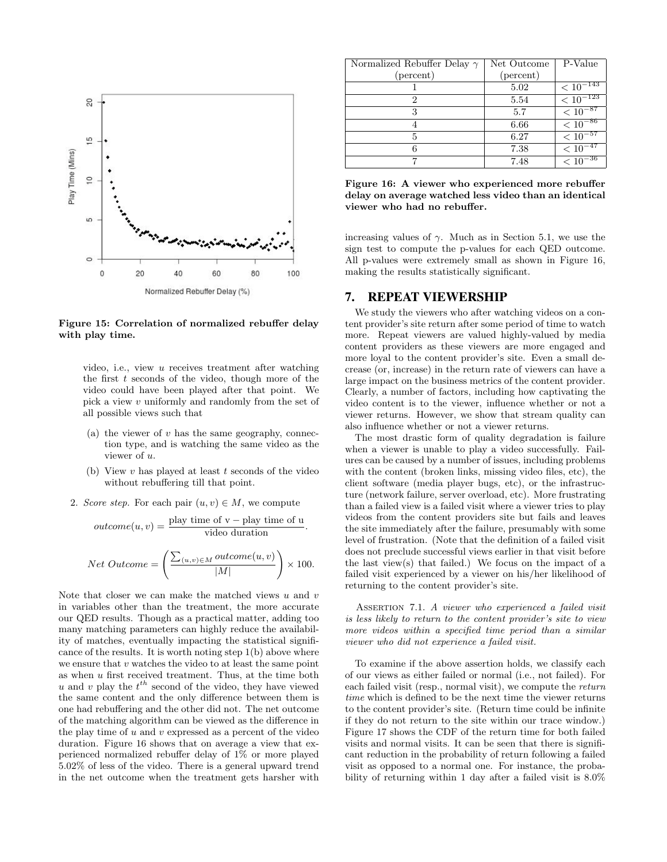

Figure 15: Correlation of normalized rebuffer delay with play time.

video, i.e., view *u* receives treatment after watching the first *t* seconds of the video, though more of the video could have been played after that point. We pick a view *v* uniformly and randomly from the set of all possible views such that

- (a) the viewer of *v* has the same geography, connection type, and is watching the same video as the viewer of *u*.
- (b) View *v* has played at least *t* seconds of the video without rebuffering till that point.
- 2. *Score step.* For each pair  $(u, v) \in M$ , we compute

*outcome*(
$$
u, v
$$
) =  $\frac{play \ time \ of \ v - play \ time \ of \ u}{video \ duration}$ .

$$
Net\ Outcome=\left(\frac{\sum_{(u,v)\in M}\ outcome(u,v)}{|M|}\right)\times 100.
$$

Note that closer we can make the matched views *u* and *v* in variables other than the treatment, the more accurate our QED results. Though as a practical matter, adding too many matching parameters can highly reduce the availability of matches, eventually impacting the statistical significance of the results. It is worth noting step 1(b) above where we ensure that *v* watches the video to at least the same point as when *u* first received treatment. Thus, at the time both *u* and *v* play the  $t^{th}$  second of the video, they have viewed the same content and the only difference between them is one had rebuffering and the other did not. The net outcome of the matching algorithm can be viewed as the difference in the play time of *u* and *v* expressed as a percent of the video duration. Figure 16 shows that on average a view that experienced normalized rebuffer delay of  $1\%$  or more played 5.02% of less of the video. There is a general upward trend in the net outcome when the treatment gets harsher with

| Normalized Rebuffer Delay $\gamma$ | Net Outcome | P-Value      |
|------------------------------------|-------------|--------------|
| (percent)                          | (percent)   |              |
|                                    | 5.02        | 143<br>< 10  |
| 2                                  | 5.54        | 123<br>< 10  |
| 3                                  | 5.7         | $< 10^{-87}$ |
|                                    | 6.66        | $< 10^{-86}$ |
| 5                                  | 6.27        | $< 10^{-57}$ |
| հ                                  | 7.38        | < 10         |
|                                    | 7.48        | $< 10^{-36}$ |

Figure 16: A viewer who experienced more rebuffer delay on average watched less video than an identical viewer who had no rebuffer.

increasing values of  $\gamma$ . Much as in Section 5.1, we use the sign test to compute the p-values for each QED outcome. All p-values were extremely small as shown in Figure 16, making the results statistically significant.

### 7. REPEAT VIEWERSHIP

We study the viewers who after watching videos on a content provider's site return after some period of time to watch more. Repeat viewers are valued highly-valued by media content providers as these viewers are more engaged and more loyal to the content provider's site. Even a small decrease (or, increase) in the return rate of viewers can have a large impact on the business metrics of the content provider. Clearly, a number of factors, including how captivating the video content is to the viewer, influence whether or not a viewer returns. However, we show that stream quality can also influence whether or not a viewer returns.

The most drastic form of quality degradation is failure when a viewer is unable to play a video successfully. Failures can be caused by a number of issues, including problems with the content (broken links, missing video files, etc), the client software (media player bugs, etc), or the infrastructure (network failure, server overload, etc). More frustrating than a failed view is a failed visit where a viewer tries to play videos from the content providers site but fails and leaves the site immediately after the failure, presumably with some level of frustration. (Note that the definition of a failed visit does not preclude successful views earlier in that visit before the last view(s) that failed.) We focus on the impact of a failed visit experienced by a viewer on his/her likelihood of returning to the content provider's site.

Assertion 7.1. *A viewer who experienced a failed visit is less likely to return to the content provider's site to view more videos within a specified time period than a similar viewer who did not experience a failed visit.*

To examine if the above assertion holds, we classify each of our views as either failed or normal (i.e., not failed). For each failed visit (resp., normal visit), we compute the *return time* which is defined to be the next time the viewer returns to the content provider's site. (Return time could be infinite if they do not return to the site within our trace window.) Figure 17 shows the CDF of the return time for both failed visits and normal visits. It can be seen that there is significant reduction in the probability of return following a failed visit as opposed to a normal one. For instance, the probability of returning within 1 day after a failed visit is 8.0%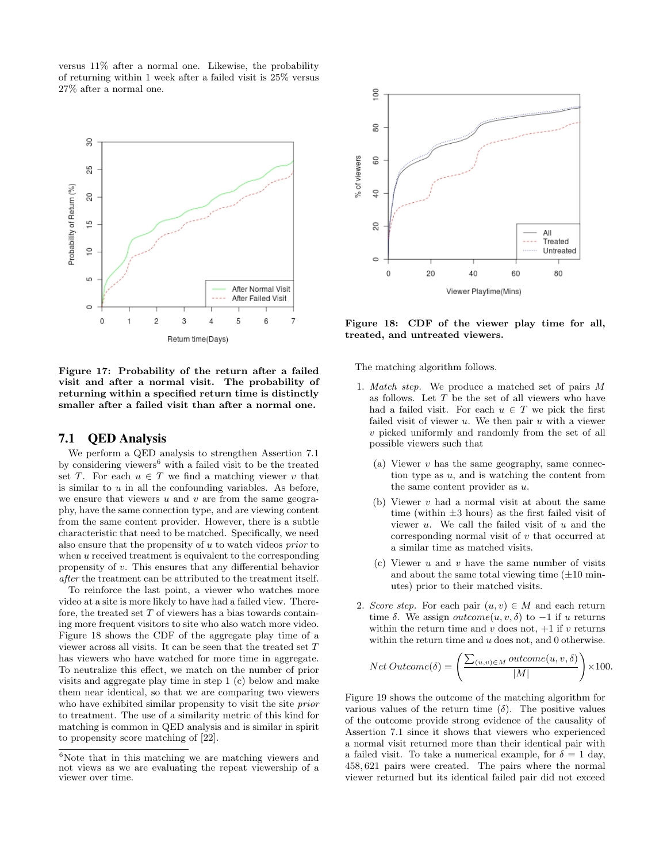versus 11% after a normal one. Likewise, the probability of returning within 1 week after a failed visit is 25% versus 27% after a normal one.



Figure 17: Probability of the return after a failed visit and after a normal visit. The probability of returning within a specified return time is distinctly smaller after a failed visit than after a normal one.

### 7.1 QED Analysis

We perform a QED analysis to strengthen Assertion 7.1 by considering viewers<sup>6</sup> with a failed visit to be the treated set *T*. For each  $u \in T$  we find a matching viewer *v* that is similar to *u* in all the confounding variables. As before, we ensure that viewers *u* and *v* are from the same geography, have the same connection type, and are viewing content from the same content provider. However, there is a subtle characteristic that need to be matched. Specifically, we need also ensure that the propensity of *u* to watch videos *prior* to when *u* received treatment is equivalent to the corresponding propensity of  $v$ . This ensures that any differential behavior *after* the treatment can be attributed to the treatment itself.

To reinforce the last point, a viewer who watches more video at a site is more likely to have had a failed view. Therefore, the treated set *T* of viewers has a bias towards containing more frequent visitors to site who also watch more video. Figure 18 shows the CDF of the aggregate play time of a viewer across all visits. It can be seen that the treated set *T* has viewers who have watched for more time in aggregate. To neutralize this effect, we match on the number of prior visits and aggregate play time in step 1 (c) below and make them near identical, so that we are comparing two viewers who have exhibited similar propensity to visit the site *prior* to treatment. The use of a similarity metric of this kind for matching is common in QED analysis and is similar in spirit to propensity score matching of [22].



Figure 18: CDF of the viewer play time for all, treated, and untreated viewers.

The matching algorithm follows.

- 1. *Match step.* We produce a matched set of pairs *M* as follows. Let *T* be the set of all viewers who have had a failed visit. For each  $u \in T$  we pick the first failed visit of viewer *u*. We then pair *u* with a viewer *v* picked uniformly and randomly from the set of all possible viewers such that
	- (a) Viewer *v* has the same geography, same connection type as *u*, and is watching the content from the same content provider as *u*.
	- (b) Viewer *v* had a normal visit at about the same time (within *±*3 hours) as the first failed visit of viewer *u*. We call the failed visit of *u* and the corresponding normal visit of *v* that occurred at a similar time as matched visits.
	- (c) Viewer *u* and *v* have the same number of visits and about the same total viewing time (*±*10 minutes) prior to their matched visits.
- 2. *Score step.* For each pair  $(u, v) \in M$  and each return time  $\delta$ . We assign *outcome*(*u*, *v*,  $\delta$ ) to -1 if *u* returns within the return time and  $v$  does not,  $+1$  if  $v$  returns within the return time and *u* does not, and 0 otherwise.

$$
Net\,Outcome(\delta)=\left(\frac{\sum_{(u,v)\in M}\,outcome(u,v,\delta)}{|M|}\right)\times 100.
$$

Figure 19 shows the outcome of the matching algorithm for various values of the return time  $(\delta)$ . The positive values of the outcome provide strong evidence of the causality of Assertion 7.1 since it shows that viewers who experienced a normal visit returned more than their identical pair with a failed visit. To take a numerical example, for  $\delta = 1$  day, 458*,* 621 pairs were created. The pairs where the normal viewer returned but its identical failed pair did not exceed

 ${}^{6}\mathrm{Note}$  that in this matching we are matching viewers and not views as we are evaluating the repeat viewership of a viewer over time.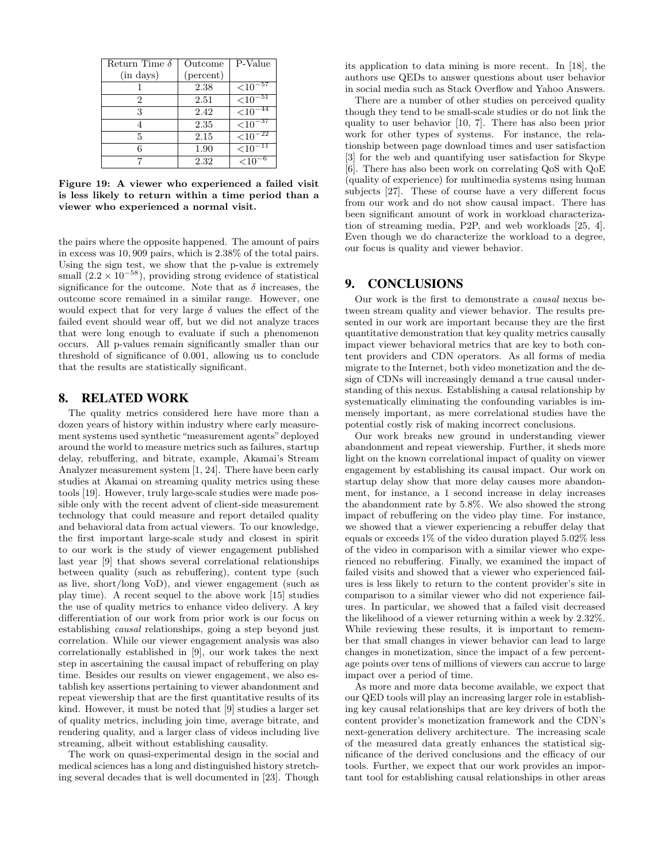| Return Time $\delta$ | Outcome   | P-Value          |
|----------------------|-----------|------------------|
| (in days)            | (percent) |                  |
|                      | 2.38      | ${<}10$          |
| 2                    | 2.51      | <10              |
| 3                    | 2.42      | $<$ 10           |
|                      | 2.35      | -37<br><10       |
| 5                    | 2.15      | -22<br>$\leq 10$ |
|                      | 1.90      | <10              |
|                      | 2.32      | < 1              |

Figure 19: A viewer who experienced a failed visit is less likely to return within a time period than a viewer who experienced a normal visit.

the pairs where the opposite happened. The amount of pairs in excess was 10*,* 909 pairs, which is 2.38% of the total pairs. Using the sign test, we show that the p-value is extremely small  $(2.2 \times 10^{-58})$ , providing strong evidence of statistical significance for the outcome. Note that as  $\delta$  increases, the outcome score remained in a similar range. However, one would expect that for very large  $\delta$  values the effect of the failed event should wear off, but we did not analyze traces that were long enough to evaluate if such a phenomenon occurs. All p-values remain significantly smaller than our threshold of significance of 0*.*001, allowing us to conclude that the results are statistically significant.

### 8. RELATED WORK

The quality metrics considered here have more than a dozen years of history within industry where early measurement systems used synthetic "measurement agents" deployed around the world to measure metrics such as failures, startup delay, rebuffering, and bitrate, example, Akamai's Stream Analyzer measurement system [1, 24]. There have been early studies at Akamai on streaming quality metrics using these tools [19]. However, truly large-scale studies were made possible only with the recent advent of client-side measurement technology that could measure and report detailed quality and behavioral data from actual viewers. To our knowledge, the first important large-scale study and closest in spirit to our work is the study of viewer engagement published last year [9] that shows several correlational relationships between quality (such as rebuffering), content type (such as live, short/long VoD), and viewer engagement (such as play time). A recent sequel to the above work [15] studies the use of quality metrics to enhance video delivery. A key differentiation of our work from prior work is our focus on establishing *causal* relationships, going a step beyond just correlation. While our viewer engagement analysis was also correlationally established in [9], our work takes the next step in ascertaining the causal impact of rebuffering on play time. Besides our results on viewer engagement, we also establish key assertions pertaining to viewer abandonment and repeat viewership that are the first quantitative results of its kind. However, it must be noted that [9] studies a larger set of quality metrics, including join time, average bitrate, and rendering quality, and a larger class of videos including live streaming, albeit without establishing causality.

The work on quasi-experimental design in the social and medical sciences has a long and distinguished history stretching several decades that is well documented in [23]. Though

its application to data mining is more recent. In [18], the authors use QEDs to answer questions about user behavior in social media such as Stack Overflow and Yahoo Answers.

There are a number of other studies on perceived quality though they tend to be small-scale studies or do not link the quality to user behavior [10, 7]. There has also been prior work for other types of systems. For instance, the relationship between page download times and user satisfaction [3] for the web and quantifying user satisfaction for Skype [6]. There has also been work on correlating QoS with QoE (quality of experience) for multimedia systems using human subjects  $[27]$ . These of course have a very different focus from our work and do not show causal impact. There has been significant amount of work in workload characterization of streaming media, P2P, and web workloads [25, 4]. Even though we do characterize the workload to a degree, our focus is quality and viewer behavior.

### 9. CONCLUSIONS

Our work is the first to demonstrate a *causal* nexus between stream quality and viewer behavior. The results presented in our work are important because they are the first quantitative demonstration that key quality metrics causally impact viewer behavioral metrics that are key to both content providers and CDN operators. As all forms of media migrate to the Internet, both video monetization and the design of CDNs will increasingly demand a true causal understanding of this nexus. Establishing a causal relationship by systematically eliminating the confounding variables is immensely important, as mere correlational studies have the potential costly risk of making incorrect conclusions.

Our work breaks new ground in understanding viewer abandonment and repeat viewership. Further, it sheds more light on the known correlational impact of quality on viewer engagement by establishing its causal impact. Our work on startup delay show that more delay causes more abandonment, for instance, a 1 second increase in delay increases the abandonment rate by 5.8%. We also showed the strong impact of rebuffering on the video play time. For instance, we showed that a viewer experiencing a rebuffer delay that equals or exceeds 1% of the video duration played 5.02% less of the video in comparison with a similar viewer who experienced no rebuffering. Finally, we examined the impact of failed visits and showed that a viewer who experienced failures is less likely to return to the content provider's site in comparison to a similar viewer who did not experience failures. In particular, we showed that a failed visit decreased the likelihood of a viewer returning within a week by 2.32%. While reviewing these results, it is important to remember that small changes in viewer behavior can lead to large changes in monetization, since the impact of a few percentage points over tens of millions of viewers can accrue to large impact over a period of time.

As more and more data become available, we expect that our QED tools will play an increasing larger role in establishing key causal relationships that are key drivers of both the content provider's monetization framework and the CDN's next-generation delivery architecture. The increasing scale of the measured data greatly enhances the statistical significance of the derived conclusions and the efficacy of our tools. Further, we expect that our work provides an important tool for establishing causal relationships in other areas